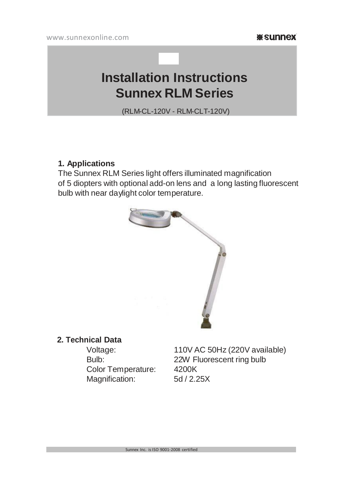**Wisunnex** 

# **onI Installation Instructions Sunnex RLM Series**

(RLM-CL-120V - RLM-CLT-120V)

### **1. Applications**

The Sunnex RLM Series light offers illuminated magnification of 5 diopters with optional add-on lens and a long lasting fluorescent bulb with near daylight color temperature.



#### **2. Technical Data**

Color Temperature: 4200K<br>Magnification: 5d / 2.25X Magnification:

Voltage: 110V AC 50Hz (220V available) Bulb: 22W Fluorescent ring bulb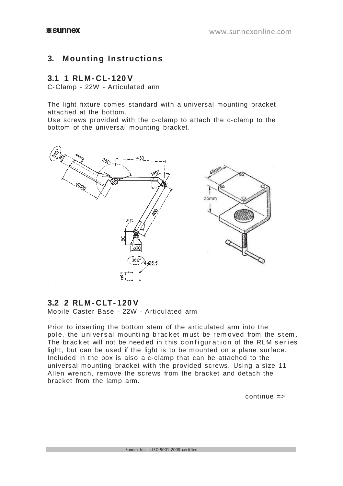# **3. M ounting Instructions**

#### **3.1 1 RLM- CL- 120 V**

C-Clamp - 22W - Articulated arm

The light fixture comes standard with a universal mounting bracket attached at the bottom.

Use screws provided with the c-clamp to attach the c-clamp to the bottom of the universal mounting bracket.



#### **3.2 2 RLM- CLT- 120 V**

Mobile Caster Base - 22W - Articulated arm

Prior to inserting the bottom stem of the articulated arm into the pole, the universal mounting bracket must be removed from the stem. The bracket will not be needed in this configuration of the RLM series light, but can be used if the light is to be mounted on a plane surface. Included in the box is also a c-clamp that can be attached to the universal mounting bracket with the provided screws. Using a size 11 Allen wrench, remove the screws from the bracket and detach the bracket from the lamp arm.

continue =>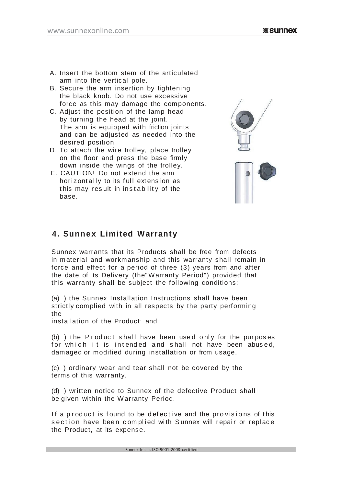- A. Insert the bottom stem of the articulated arm into the vertical pole.
- B. Secure the arm insertion by tightening the black knob. Do not use excessive force as this may damage the components.
- C. Adjust the position of the lamp head by turning the head at the joint. The arm is equipped with friction joints and can be adjusted as needed into the desired position.
- D. To attach the wire trolley, place trolley on the floor and press the base firmly down inside the wings of the trolley.
- E. CAUTION! Do not extend the arm horizontally to its full extension as this may result in instability of the base.



# **4. Sunnex Limited Warranty**

Sunnex warrants that its Products shall be free from defects in material and workmanship and this warranty shall remain in force and effect for a period of three (3) years from and after the date of its Delivery (the Warranty Period") provided that this warranty shall be subject the following conditions:

(a) ) the Sunnex Installation Instructions shall have been strictly complied with in all respects by the party performing the

installation of the Product; and

(b) ) the Product shall have been used only for the purposes for which it is intended and shall not have been abused. damaged or modified during installation or from usage.

(c) ) ordinary wear and tear shall not be covered by the terms of this warranty.

(d) ) written notice to Sunnex of the defective Product shall be given within the W arranty Period.

If a product is found to be defective and the provisions of this section have been complied with Sunnex will repair or replace the Product, at its expense.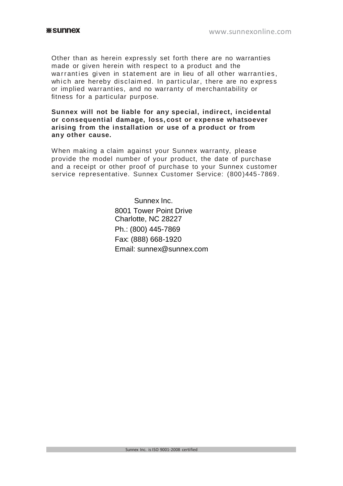Other than as herein expressly set forth there are no warranties made or given herein with respect to a product and the warranties given in statement are in lieu of all other warranties, which are hereby disclaimed. In particular, there are no express or implied warranties, and no warranty of merchantability or fitness for a particular purpose.

**Sunnex will not be liable for any special, indirect, incidental or consequential damage, loss, cost or expense whatsoever arising from the installation or use of a product or from any other cause.**

When making a claim against your Sunnex warranty, please provide the model number of your product, the date of purchase and a receipt or other proof of purchase to your Sunnex customer service representative. Sunnex Customer Service: (800)445 -7869 .

> Sunnex Inc. 8001 Tower Point Drive Charlotte, NC 28227 Ph.: (800) 445-7869 Fax: (888) 668-1920 Email: [sunnex@sunnex.com](mailto:sunnex@sunnex.com)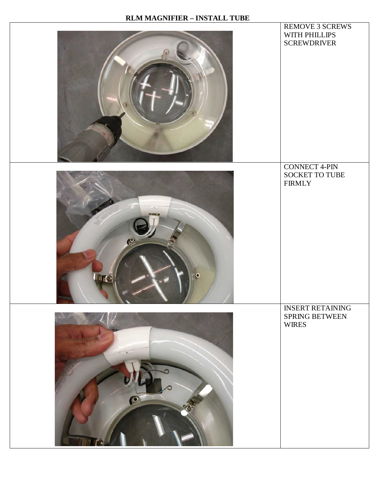# **RLM MAGNIFIER – INSTALL TUBE**

|                                                                                                                                                                                                                                                          | REMOVE 3 SCREWS<br>WITH PHILLIPS<br><b>SCREWDRIVER</b>    |
|----------------------------------------------------------------------------------------------------------------------------------------------------------------------------------------------------------------------------------------------------------|-----------------------------------------------------------|
| <b>The Contract of the Contract of the Contract of the Contract of the Contract of the Contract of the Contract of the Contract of the Contract of the Contract of the Contract of the Contract of the Contract of the Contract </b><br>C<br><b>Ugre</b> | <b>CONNECT 4-PIN</b><br>SOCKET TO TUBE<br><b>FIRMLY</b>   |
| O                                                                                                                                                                                                                                                        | <b>INSERT RETAINING</b><br>SPRING BETWEEN<br><b>WIRES</b> |